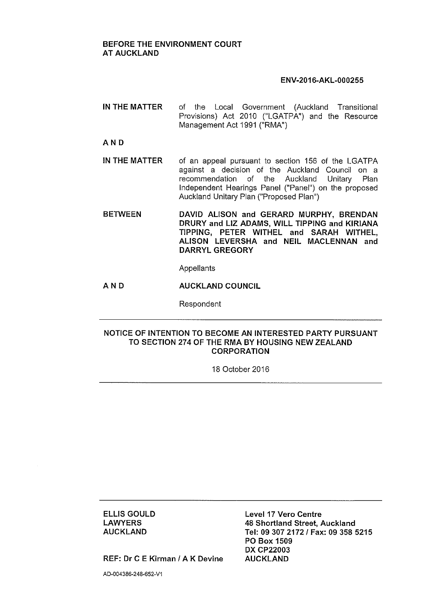## BEFORE THE ENVIRONMENT COURT AT AUCKLAND

## ENV·2016·AKL·000255

IN THE MATTER of the Local Government (Auckland Transitional Provisions) Act 2010 ("LGATPA") and the Resource Management Act 1991 ("RMA")

## AND

- IN THE MATTER of an appeal pursuant to section 156 of the LGATPA against a decision of the Auckland Council on a recommendation of the Auckland Unitary Plan Independent Hearings Panel ("Panel") on the proposed Auckland Unitary Plan ("Proposed Plan")
- **BETWEEN** DAVID ALISON and GERARD MURPHY, BRENDAN DRURY and LIZ ADAMS, WILL TIPPING and KIRIANA TIPPING, PETER WITHEL and SARAH WITHEL, ALISON LEVERSHA and NEIL MACLENNAN and DARRYL GREGORY

Appellants

AND AUCKLAND COUNCIL

Respondent

## NOTICE OF INTENTION TO BECOME AN INTERESTED PARTY PURSUANT TO SECTION 274 OF THE RMA BY HOUSING NEW ZEALAND **CORPORATION**

18 October 2016

ELLIS GOULD **LAWYERS** AUCKLAND

Level 17 Vero Centre 48 Shortland Street, Auckland Tel: 0930721721 Fax: 09 358 5215 PO Box 1509 DX CP22003 AUCKLAND

REF: Dr C E Kirman / A K Devine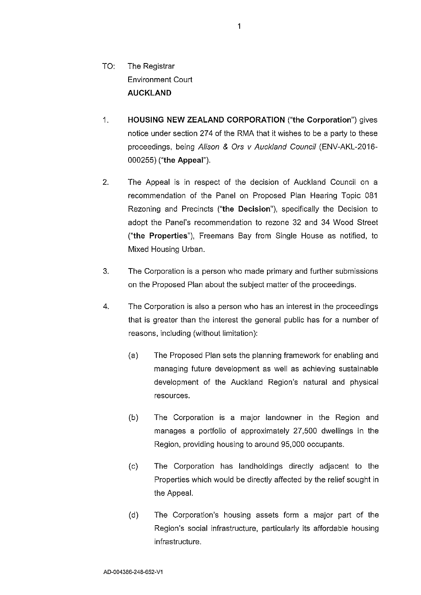- TO: The Registrar Environment Court **AUCKLAND**
- 1. **HOUSING NEW ZEALAND CORPORATION** ("the Corporation") gives notice under section 274 of the RMA that it wishes to be a party to these proceedings, being Alison & Ors v Auckland Council (ENV-AKL-2016- 000255) ("the Appeal").
- 2. The Appeal is in respect of the decision of Auckland Council on a recommendation of the Panel on Proposed Plan Hearing Topic 081 Rezoning and Precincts ("the Decision"), specifically the Decision to adopt the Panel's recommendation to rezone 32 and 34 Wood Street ("the Properties"), Freemans Bay from Single House as notified, to Mixed Housing Urban.
- 3. The Corporation is a person who made primary and further submissions on the Proposed Plan about the subject matter of the proceedings.
- 4. The Corporation is also a person who has an interest in the proceedings that is greater than the interest the general public has for a number of reasons, including (without limitation):
	- (a) The Proposed Plan sets the planning framework for enabling and managing future development as well as achieving sustainable development of the Auckland Region's natural and physical resources.
	- (b) The Corporation is a major landowner in the Region and manages a portfolio of approximately 27,500 dwellings in the Region, providing housing to around 95,000 occupants.
	- (c) The Corporation has landholdings directly adjacent to the Properties which would be directly affected by the relief sought in the Appeal.
	- (d) The Corporation's housing assets form a major part of the Region's social infrastructure, particularly its affordable housing infrastructure.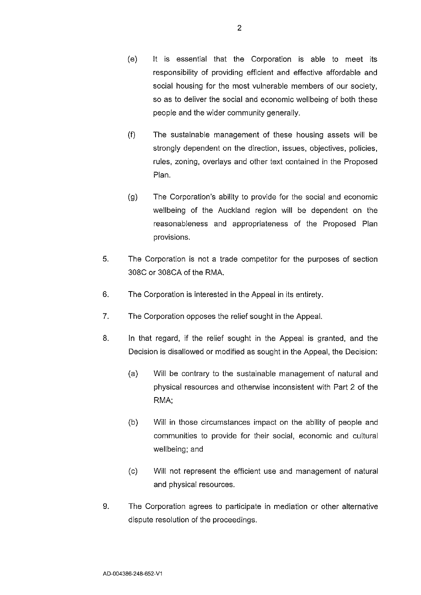- (f) The sustainable management of these housing assets will be strongly dependent on the direction, issues, objectives, policies, rules, zoning, overlays and other text contained in the Proposed Plan.
- (g) The Corporation's ability to provide for the social and economic wellbeing of the Auckland region will be dependent on the reasonableness and appropriateness of the Proposed Plan provisions.
- 5. The Corporation is not a trade competitor for the purposes of section 30BC or 30BCA of the RMA.
- 6. The Corporation is interested in the Appeal in its entirety.
- 7. The Corporation opposes the relief sought in the Appeal.
- *B.* In that regard, if the relief sought in the Appeal is granted, and the Decision is disallowed or modified as sought in the Appeal, the Decision:
	- (a) Will be contrary to the sustainable management of natural and physical resources and otherwise inconsistent with Part 2 of the RMA;
	- (b) Will in those circumstances impact on the ability of people and communities to provide for their social, economic and cultural wellbeing; and
	- (c) Will not represent the efficient use and management of natural and physical resources.
- 9. The Corporation agrees to participate in mediation or other alternative dispute resolution of the proceedings.